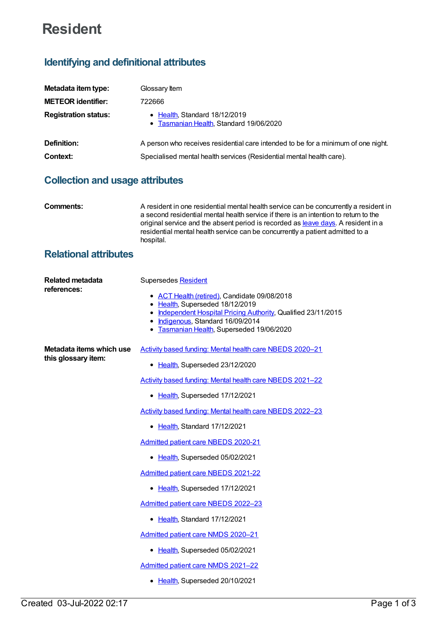## **Resident**

## **Identifying and definitional attributes**

| Metadata item type:         | Glossary Item                                                                     |
|-----------------------------|-----------------------------------------------------------------------------------|
| <b>METEOR identifier:</b>   | 722666                                                                            |
| <b>Registration status:</b> | • Health, Standard 18/12/2019<br>• Tasmanian Health, Standard 19/06/2020          |
| Definition:                 | A person who receives residential care intended to be for a minimum of one night. |
| Context:                    | Specialised mental health services (Residential mental health care).              |
|                             |                                                                                   |

## **Collection and usage attributes**

**Comments:** A resident in one residential mental health service can be concurrently a resident in a second residential mental health service if there is an intention to return to the original service and the absent period is recorded as [leave](file:///content/723200) days. A resident in a residential mental health service can be concurrently a patient admitted to a hospital.

## **Relational attributes**

| Related metadata<br>references:                 | Supersedes Resident                                                                               |
|-------------------------------------------------|---------------------------------------------------------------------------------------------------|
|                                                 | • ACT Health (retired), Candidate 09/08/2018                                                      |
|                                                 | • Health, Superseded 18/12/2019<br>• Independent Hospital Pricing Authority, Qualified 23/11/2015 |
|                                                 | • Indigenous, Standard 16/09/2014<br>· Tasmanian Health, Superseded 19/06/2020                    |
|                                                 |                                                                                                   |
| Metadata items which use<br>this glossary item: | Activity based funding: Mental health care NBEDS 2020-21                                          |
|                                                 | • Health, Superseded 23/12/2020                                                                   |
|                                                 | Activity based funding: Mental health care NBEDS 2021-22                                          |
|                                                 | • Health, Superseded 17/12/2021                                                                   |
|                                                 | Activity based funding: Mental health care NBEDS 2022-23                                          |
|                                                 | • Health, Standard 17/12/2021                                                                     |
|                                                 | Admitted patient care NBEDS 2020-21                                                               |
|                                                 | • Health, Superseded 05/02/2021                                                                   |
|                                                 | <b>Admitted patient care NBEDS 2021-22</b>                                                        |
|                                                 | • Health, Superseded 17/12/2021                                                                   |
|                                                 | Admitted patient care NBEDS 2022-23                                                               |
|                                                 | • Health, Standard 17/12/2021                                                                     |
|                                                 | Admitted patient care NMDS 2020-21                                                                |
|                                                 | Health, Superseded 05/02/2021                                                                     |
|                                                 | Admitted patient care NMDS 2021-22                                                                |
|                                                 | • Health, Superseded 20/10/2021                                                                   |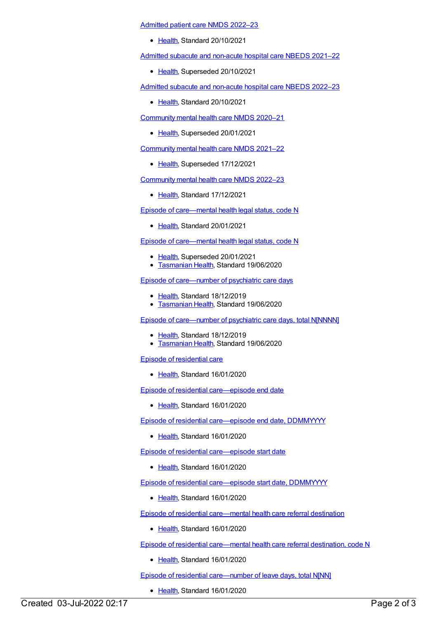[Admitted](https://meteor.aihw.gov.au/content/742173) patient care NMDS 2022–23

• [Health](https://meteor.aihw.gov.au/RegistrationAuthority/12), Standard 20/10/2021

Admitted subacute and [non-acute](https://meteor.aihw.gov.au/content/727327) hospital care NBEDS 2021–22

• [Health](https://meteor.aihw.gov.au/RegistrationAuthority/12), Superseded 20/10/2021

Admitted subacute and [non-acute](https://meteor.aihw.gov.au/content/742177) hospital care NBEDS 2022–23

• [Health](https://meteor.aihw.gov.au/RegistrationAuthority/12), Standard 20/10/2021

[Community](https://meteor.aihw.gov.au/content/722221) mental health care NMDS 2020–21

• [Health](https://meteor.aihw.gov.au/RegistrationAuthority/12), Superseded 20/01/2021

[Community](https://meteor.aihw.gov.au/content/727348) mental health care NMDS 2021–22

• [Health](https://meteor.aihw.gov.au/RegistrationAuthority/12), Superseded 17/12/2021

[Community](https://meteor.aihw.gov.au/content/742040) mental health care NMDS 2022–23

• [Health](https://meteor.aihw.gov.au/RegistrationAuthority/12), Standard 17/12/2021

Episode of [care—mental](https://meteor.aihw.gov.au/content/727343) health legal status, code N

• [Health](https://meteor.aihw.gov.au/RegistrationAuthority/12), Standard 20/01/2021

Episode of [care—mental](https://meteor.aihw.gov.au/content/722675) health legal status, code N

- [Health](https://meteor.aihw.gov.au/RegistrationAuthority/12), Superseded 20/01/2021
- **[Tasmanian](https://meteor.aihw.gov.au/RegistrationAuthority/15) Health, Standard 19/06/2020**

Episode of [care—number](https://meteor.aihw.gov.au/content/722680) of psychiatric care days

- [Health](https://meteor.aihw.gov.au/RegistrationAuthority/12), Standard 18/12/2019
- **[Tasmanian](https://meteor.aihw.gov.au/RegistrationAuthority/15) Health, Standard 19/06/2020**

Episode of [care—number](https://meteor.aihw.gov.au/content/722678) of psychiatric care days, total N[NNNN]

- [Health](https://meteor.aihw.gov.au/RegistrationAuthority/12), Standard 18/12/2019
- **[Tasmanian](https://meteor.aihw.gov.au/RegistrationAuthority/15) Health, Standard 19/06/2020**

Episode of [residential](https://meteor.aihw.gov.au/content/723170) care

• [Health](https://meteor.aihw.gov.au/RegistrationAuthority/12), Standard 16/01/2020

Episode of residential [care—episode](https://meteor.aihw.gov.au/content/723203) end date

• [Health](https://meteor.aihw.gov.au/RegistrationAuthority/12), Standard 16/01/2020

Episode of residential [care—episode](https://meteor.aihw.gov.au/content/723189) end date, DDMMYYYY

• [Health](https://meteor.aihw.gov.au/RegistrationAuthority/12), Standard 16/01/2020

Episode of residential [care—episode](https://meteor.aihw.gov.au/content/723210) start date

• [Health](https://meteor.aihw.gov.au/RegistrationAuthority/12), Standard 16/01/2020

Episode of residential [care—episode](https://meteor.aihw.gov.au/content/723194) start date, DDMMYYYY

• [Health](https://meteor.aihw.gov.au/RegistrationAuthority/12), Standard 16/01/2020

Episode of residential [care—mental](https://meteor.aihw.gov.au/content/723221) health care referral destination

• [Health](https://meteor.aihw.gov.au/RegistrationAuthority/12), Standard 16/01/2020

Episode of residential [care—mental](https://meteor.aihw.gov.au/content/723198) health care referral destination, code N

• [Health](https://meteor.aihw.gov.au/RegistrationAuthority/12), Standard 16/01/2020

Episode of residential [care—number](https://meteor.aihw.gov.au/content/723200) of leave days, total N[NN]

• [Health](https://meteor.aihw.gov.au/RegistrationAuthority/12), Standard 16/01/2020